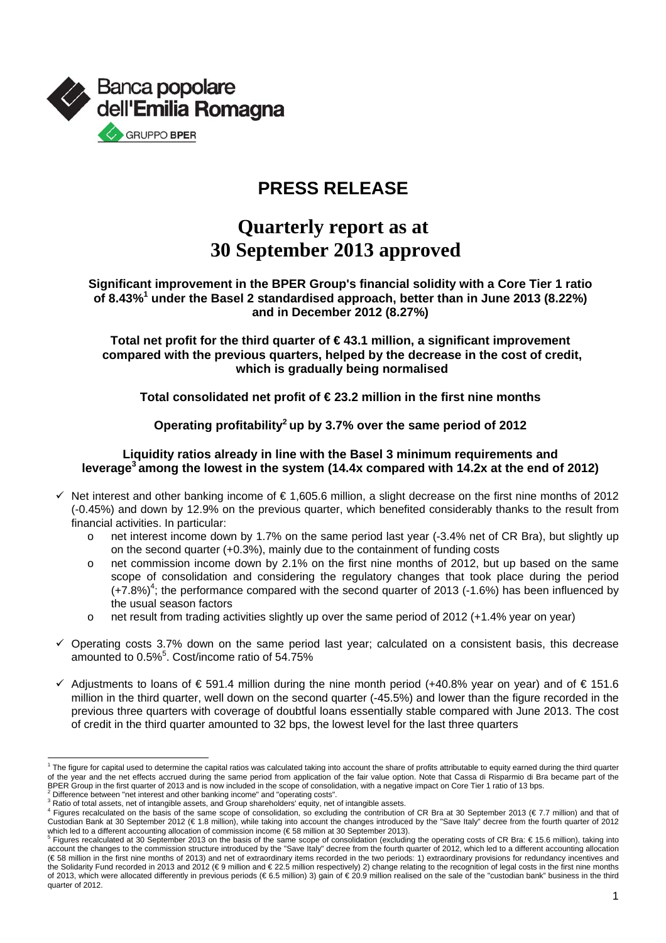

## **PRESS RELEASE**

# **Quarterly report as at 30 September 2013 approved**

### **Significant improvement in the BPER Group's financial solidity with a Core Tier 1 ratio**  of 8.43%<sup>1</sup> under the Basel 2 standardised approach, better than in June 2013 (8.22%) **and in December 2012 (8.27%)**

**Total net profit for the third quarter of € 43.1 million, a significant improvement compared with the previous quarters, helped by the decrease in the cost of credit, which is gradually being normalised** 

**Total consolidated net profit of € 23.2 million in the first nine months** 

**Operating profitability2 up by 3.7% over the same period of 2012** 

#### **Liquidity ratios already in line with the Basel 3 minimum requirements and leverage3 among the lowest in the system (14.4x compared with 14.2x at the end of 2012)**

- $\checkmark$  Net interest and other banking income of  $\in 1,605.6$  million, a slight decrease on the first nine months of 2012 (-0.45%) and down by 12.9% on the previous quarter, which benefited considerably thanks to the result from financial activities. In particular:
	- net interest income down by 1.7% on the same period last year (-3.4% net of CR Bra), but slightly up on the second quarter (+0.3%), mainly due to the containment of funding costs
	- o net commission income down by 2.1% on the first nine months of 2012, but up based on the same scope of consolidation and considering the regulatory changes that took place during the period  $(+7.8%)<sup>4</sup>$ ; the performance compared with the second quarter of 2013 (-1.6%) has been influenced by the usual season factors
	- o net result from trading activities slightly up over the same period of 2012 (+1.4% year on year)
- $\checkmark$  Operating costs 3.7% down on the same period last year; calculated on a consistent basis, this decrease amounted to 0.5%<sup>5</sup>. Cost/income ratio of 54.75%
- $\checkmark$  Adjustments to loans of € 591.4 million during the nine month period (+40.8% year on year) and of € 151.6 million in the third quarter, well down on the second quarter (-45.5%) and lower than the figure recorded in the previous three quarters with coverage of doubtful loans essentially stable compared with June 2013. The cost of credit in the third quarter amounted to 32 bps, the lowest level for the last three quarters

l <sup>1</sup> The figure for capital used to determine the capital ratios was calculated taking into account the share of profits attributable to equity earned during the third quarter of the year and the net effects accrued during the same period from application of the fair value option. Note that Cassa di Risparmio di Bra became part of the BPER Group in the first quarter of 2013 and is now included in the scope of consolidation, with a negative impact on Core Tier 1 ratio of 13 bps. 2

 $2$  Difference between "net interest and other banking income" and "operating costs".

**Ratio of total assets, net of intangible assets, and Group shareholders' equity, net of intangible assets.** 

Figures recalculated on the basis of the same scope of consolidation, so excluding the contribution of CR Bra at 30 September 2013 (€ 7.7 million) and that of Custodian Bank at 30 September 2012 (€ 1.8 million), while taking into account the changes introduced by the "Save Italy" decree from the fourth quarter of 2012 which led to a different accounting allocation of commission income (€58 million at 30 September 2013).<br><sup>5</sup> Figures recalculated at 30 September 2013 on the basis of the same scope of consolidation (excluding the operatin

account the changes to the commission structure introduced by the "Save Italy" decree from the fourth quarter of 2012, which led to a different accounting allocation (€ 58 million in the first nine months of 2013) and net of extraordinary items recorded in the two periods: 1) extraordinary provisions for redundancy incentives and the Solidarity Fund recorded in 2013 and 2012 (€ 9 million and € 22.5 million respectively) 2) change relating to the recognition of legal costs in the first nine months of 2013, which were allocated differently in previous periods (€ 6.5 million) 3) gain of € 20.9 million realised on the sale of the "custodian bank" business in the third quarter of 2012.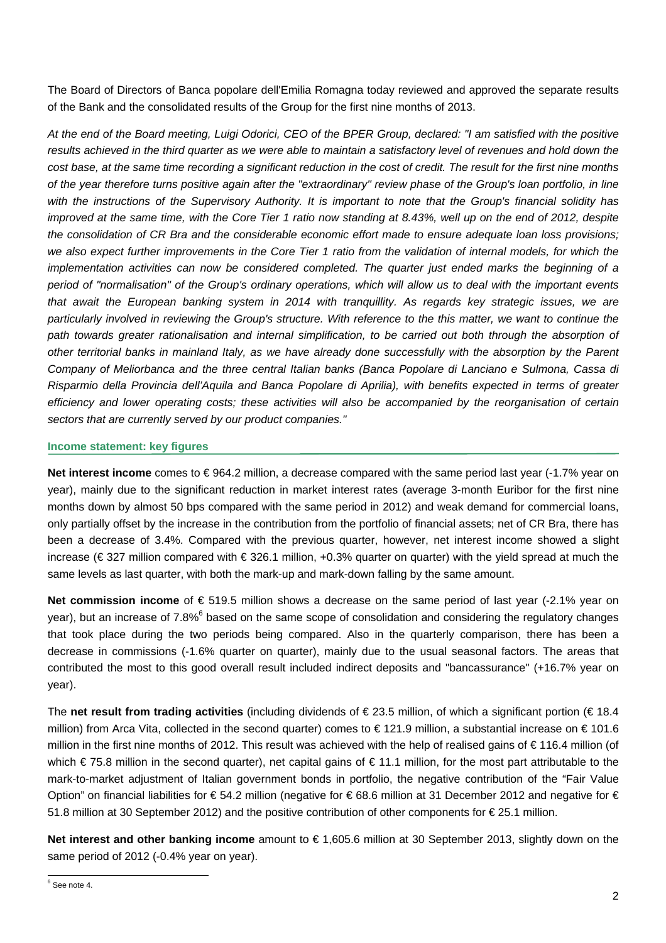The Board of Directors of Banca popolare dell'Emilia Romagna today reviewed and approved the separate results of the Bank and the consolidated results of the Group for the first nine months of 2013.

*At the end of the Board meeting, Luigi Odorici, CEO of the BPER Group, declared: "I am satisfied with the positive results achieved in the third quarter as we were able to maintain a satisfactory level of revenues and hold down the cost base, at the same time recording a significant reduction in the cost of credit. The result for the first nine months of the year therefore turns positive again after the "extraordinary" review phase of the Group's loan portfolio, in line with the instructions of the Supervisory Authority. It is important to note that the Group's financial solidity has improved at the same time, with the Core Tier 1 ratio now standing at 8.43%, well up on the end of 2012, despite the consolidation of CR Bra and the considerable economic effort made to ensure adequate loan loss provisions;*  we also expect further improvements in the Core Tier 1 ratio from the validation of internal models, for which the *implementation activities can now be considered completed. The quarter just ended marks the beginning of a period of "normalisation" of the Group's ordinary operations, which will allow us to deal with the important events that await the European banking system in 2014 with tranquillity. As regards key strategic issues, we are*  particularly involved in reviewing the Group's structure. With reference to the this matter, we want to continue the path towards greater rationalisation and internal simplification, to be carried out both through the absorption of *other territorial banks in mainland Italy, as we have already done successfully with the absorption by the Parent Company of Meliorbanca and the three central Italian banks (Banca Popolare di Lanciano e Sulmona, Cassa di Risparmio della Provincia dell'Aquila and Banca Popolare di Aprilia), with benefits expected in terms of greater efficiency and lower operating costs; these activities will also be accompanied by the reorganisation of certain sectors that are currently served by our product companies."* 

#### **Income statement: key figures**

**Net interest income** comes to € 964.2 million, a decrease compared with the same period last year (-1.7% year on year), mainly due to the significant reduction in market interest rates (average 3-month Euribor for the first nine months down by almost 50 bps compared with the same period in 2012) and weak demand for commercial loans, only partially offset by the increase in the contribution from the portfolio of financial assets; net of CR Bra, there has been a decrease of 3.4%. Compared with the previous quarter, however, net interest income showed a slight increase (€ 327 million compared with € 326.1 million, +0.3% quarter on quarter) with the yield spread at much the same levels as last quarter, with both the mark-up and mark-down falling by the same amount.

**Net commission income** of € 519.5 million shows a decrease on the same period of last year (-2.1% year on year), but an increase of 7.8%<sup>6</sup> based on the same scope of consolidation and considering the regulatory changes that took place during the two periods being compared. Also in the quarterly comparison, there has been a decrease in commissions (-1.6% quarter on quarter), mainly due to the usual seasonal factors. The areas that contributed the most to this good overall result included indirect deposits and "bancassurance" (+16.7% year on year).

The **net result from trading activities** (including dividends of € 23.5 million, of which a significant portion (€ 18.4 million) from Arca Vita, collected in the second quarter) comes to € 121.9 million, a substantial increase on € 101.6 million in the first nine months of 2012. This result was achieved with the help of realised gains of € 116.4 million (of which € 75.8 million in the second quarter), net capital gains of € 11.1 million, for the most part attributable to the mark-to-market adjustment of Italian government bonds in portfolio, the negative contribution of the "Fair Value Option" on financial liabilities for € 54.2 million (negative for € 68.6 million at 31 December 2012 and negative for € 51.8 million at 30 September 2012) and the positive contribution of other components for € 25.1 million.

**Net interest and other banking income** amount to € 1,605.6 million at 30 September 2013, slightly down on the same period of 2012 (-0.4% year on year).

 6 See note 4.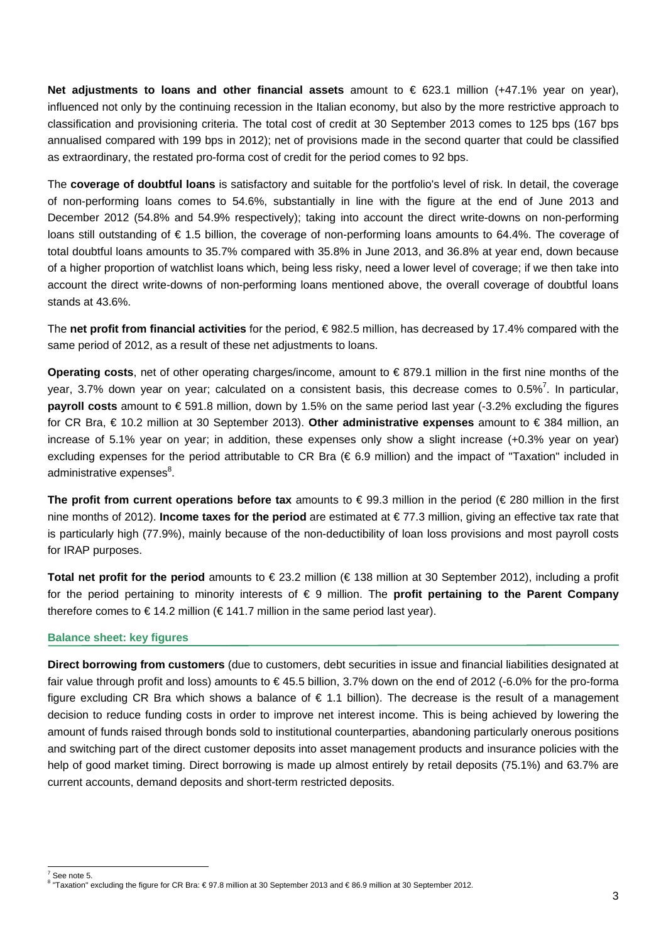**Net adjustments to loans and other financial assets** amount to € 623.1 million (+47.1% year on year), influenced not only by the continuing recession in the Italian economy, but also by the more restrictive approach to classification and provisioning criteria. The total cost of credit at 30 September 2013 comes to 125 bps (167 bps annualised compared with 199 bps in 2012); net of provisions made in the second quarter that could be classified as extraordinary, the restated pro-forma cost of credit for the period comes to 92 bps.

The **coverage of doubtful loans** is satisfactory and suitable for the portfolio's level of risk. In detail, the coverage of non-performing loans comes to 54.6%, substantially in line with the figure at the end of June 2013 and December 2012 (54.8% and 54.9% respectively); taking into account the direct write-downs on non-performing loans still outstanding of € 1.5 billion, the coverage of non-performing loans amounts to 64.4%. The coverage of total doubtful loans amounts to 35.7% compared with 35.8% in June 2013, and 36.8% at year end, down because of a higher proportion of watchlist loans which, being less risky, need a lower level of coverage; if we then take into account the direct write-downs of non-performing loans mentioned above, the overall coverage of doubtful loans stands at 43.6%.

The **net profit from financial activities** for the period, € 982.5 million, has decreased by 17.4% compared with the same period of 2012, as a result of these net adjustments to loans.

**Operating costs**, net of other operating charges/income, amount to € 879.1 million in the first nine months of the year, 3.7% down year on year; calculated on a consistent basis, this decrease comes to 0.5%<sup>7</sup>. In particular, **payroll costs** amount to € 591.8 million, down by 1.5% on the same period last year (-3.2% excluding the figures for CR Bra, € 10.2 million at 30 September 2013). **Other administrative expenses** amount to € 384 million, an increase of 5.1% year on year; in addition, these expenses only show a slight increase (+0.3% year on year) excluding expenses for the period attributable to CR Bra (€ 6.9 million) and the impact of "Taxation" included in administrative expenses<sup>8</sup>.

**The profit from current operations before tax** amounts to € 99.3 million in the period (€ 280 million in the first nine months of 2012). **Income taxes for the period** are estimated at € 77.3 million, giving an effective tax rate that is particularly high (77.9%), mainly because of the non-deductibility of loan loss provisions and most payroll costs for IRAP purposes.

**Total net profit for the period** amounts to € 23.2 million (€ 138 million at 30 September 2012), including a profit for the period pertaining to minority interests of € 9 million. The **profit pertaining to the Parent Company**  therefore comes to  $\in$  14.2 million ( $\in$  141.7 million in the same period last year).

#### **Balance sheet: key figures**

**Direct borrowing from customers** (due to customers, debt securities in issue and financial liabilities designated at fair value through profit and loss) amounts to  $\in$  45.5 billion, 3.7% down on the end of 2012 (-6.0% for the pro-forma figure excluding CR Bra which shows a balance of  $\epsilon$  1.1 billion). The decrease is the result of a management decision to reduce funding costs in order to improve net interest income. This is being achieved by lowering the amount of funds raised through bonds sold to institutional counterparties, abandoning particularly onerous positions and switching part of the direct customer deposits into asset management products and insurance policies with the help of good market timing. Direct borrowing is made up almost entirely by retail deposits (75.1%) and 63.7% are current accounts, demand deposits and short-term restricted deposits.

<sup>&</sup>lt;sup>7</sup> See note 5.

<sup>8</sup> "Taxation" excluding the figure for CR Bra: € 97.8 million at 30 September 2013 and € 86.9 million at 30 September 2012.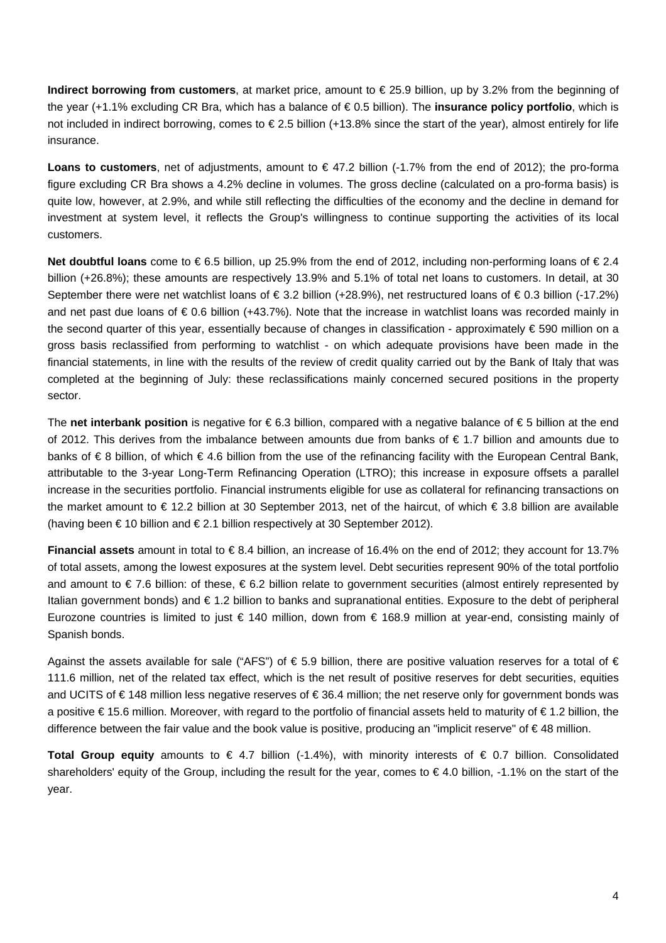**Indirect borrowing from customers**, at market price, amount to € 25.9 billion, up by 3.2% from the beginning of the year (+1.1% excluding CR Bra, which has a balance of € 0.5 billion). The **insurance policy portfolio**, which is not included in indirect borrowing, comes to € 2.5 billion (+13.8% since the start of the year), almost entirely for life insurance.

**Loans to customers**, net of adjustments, amount to € 47.2 billion (-1.7% from the end of 2012); the pro-forma figure excluding CR Bra shows a 4.2% decline in volumes. The gross decline (calculated on a pro-forma basis) is quite low, however, at 2.9%, and while still reflecting the difficulties of the economy and the decline in demand for investment at system level, it reflects the Group's willingness to continue supporting the activities of its local customers.

**Net doubtful loans** come to € 6.5 billion, up 25.9% from the end of 2012, including non-performing loans of € 2.4 billion (+26.8%); these amounts are respectively 13.9% and 5.1% of total net loans to customers. In detail, at 30 September there were net watchlist loans of  $\in$  3.2 billion (+28.9%), net restructured loans of  $\in$  0.3 billion (-17.2%) and net past due loans of € 0.6 billion (+43.7%). Note that the increase in watchlist loans was recorded mainly in the second quarter of this year, essentially because of changes in classification - approximately € 590 million on a gross basis reclassified from performing to watchlist - on which adequate provisions have been made in the financial statements, in line with the results of the review of credit quality carried out by the Bank of Italy that was completed at the beginning of July: these reclassifications mainly concerned secured positions in the property sector.

The **net interbank position** is negative for € 6.3 billion, compared with a negative balance of € 5 billion at the end of 2012. This derives from the imbalance between amounts due from banks of  $\epsilon$  1.7 billion and amounts due to banks of € 8 billion, of which € 4.6 billion from the use of the refinancing facility with the European Central Bank, attributable to the 3-year Long-Term Refinancing Operation (LTRO); this increase in exposure offsets a parallel increase in the securities portfolio. Financial instruments eligible for use as collateral for refinancing transactions on the market amount to € 12.2 billion at 30 September 2013, net of the haircut, of which € 3.8 billion are available (having been € 10 billion and € 2.1 billion respectively at 30 September 2012).

**Financial assets** amount in total to € 8.4 billion, an increase of 16.4% on the end of 2012; they account for 13.7% of total assets, among the lowest exposures at the system level. Debt securities represent 90% of the total portfolio and amount to € 7.6 billion: of these, € 6.2 billion relate to government securities (almost entirely represented by Italian government bonds) and € 1.2 billion to banks and supranational entities. Exposure to the debt of peripheral Eurozone countries is limited to just € 140 million, down from € 168.9 million at year-end, consisting mainly of Spanish bonds.

Against the assets available for sale ("AFS") of  $\epsilon$  5.9 billion, there are positive valuation reserves for a total of  $\epsilon$ 111.6 million, net of the related tax effect, which is the net result of positive reserves for debt securities, equities and UCITS of € 148 million less negative reserves of € 36.4 million; the net reserve only for government bonds was a positive € 15.6 million. Moreover, with regard to the portfolio of financial assets held to maturity of € 1.2 billion, the difference between the fair value and the book value is positive, producing an "implicit reserve" of € 48 million.

**Total Group equity** amounts to € 4.7 billion (-1.4%), with minority interests of € 0.7 billion. Consolidated shareholders' equity of the Group, including the result for the year, comes to € 4.0 billion, -1.1% on the start of the year.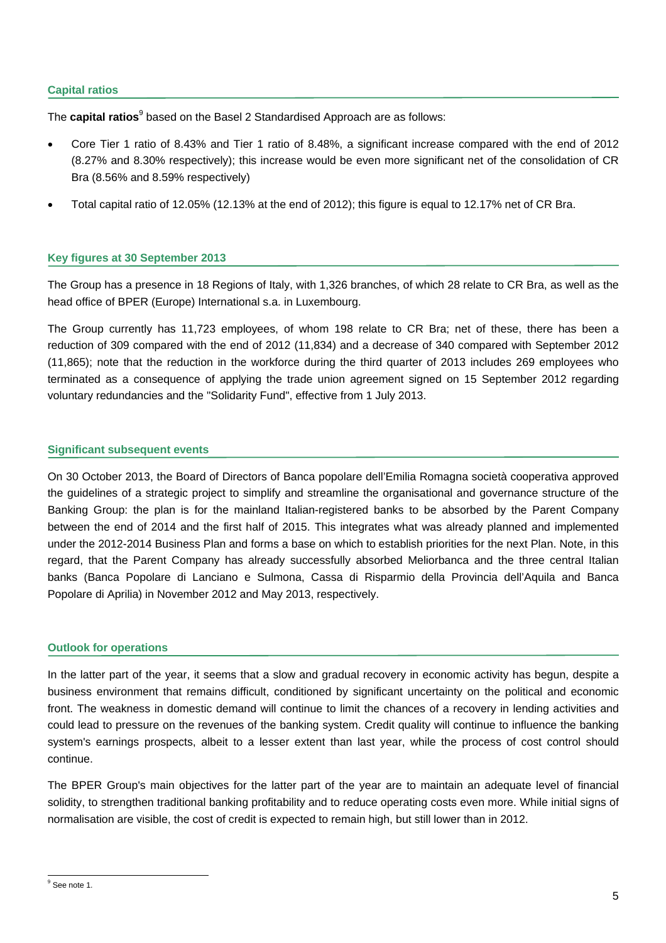#### **Capital ratios**

The **capital ratios**<sup>9</sup> based on the Basel 2 Standardised Approach are as follows:

- Core Tier 1 ratio of 8.43% and Tier 1 ratio of 8.48%, a significant increase compared with the end of 2012 (8.27% and 8.30% respectively); this increase would be even more significant net of the consolidation of CR Bra (8.56% and 8.59% respectively)
- Total capital ratio of 12.05% (12.13% at the end of 2012); this figure is equal to 12.17% net of CR Bra.

#### **Key figures at 30 September 2013**

The Group has a presence in 18 Regions of Italy, with 1,326 branches, of which 28 relate to CR Bra, as well as the head office of BPER (Europe) International s.a. in Luxembourg.

The Group currently has 11,723 employees, of whom 198 relate to CR Bra; net of these, there has been a reduction of 309 compared with the end of 2012 (11,834) and a decrease of 340 compared with September 2012 (11,865); note that the reduction in the workforce during the third quarter of 2013 includes 269 employees who terminated as a consequence of applying the trade union agreement signed on 15 September 2012 regarding voluntary redundancies and the "Solidarity Fund", effective from 1 July 2013.

#### **Significant subsequent events**

On 30 October 2013, the Board of Directors of Banca popolare dell'Emilia Romagna società cooperativa approved the guidelines of a strategic project to simplify and streamline the organisational and governance structure of the Banking Group: the plan is for the mainland Italian-registered banks to be absorbed by the Parent Company between the end of 2014 and the first half of 2015. This integrates what was already planned and implemented under the 2012-2014 Business Plan and forms a base on which to establish priorities for the next Plan. Note, in this regard, that the Parent Company has already successfully absorbed Meliorbanca and the three central Italian banks (Banca Popolare di Lanciano e Sulmona, Cassa di Risparmio della Provincia dell'Aquila and Banca Popolare di Aprilia) in November 2012 and May 2013, respectively.

#### **Outlook for operations**

In the latter part of the year, it seems that a slow and gradual recovery in economic activity has begun, despite a business environment that remains difficult, conditioned by significant uncertainty on the political and economic front. The weakness in domestic demand will continue to limit the chances of a recovery in lending activities and could lead to pressure on the revenues of the banking system. Credit quality will continue to influence the banking system's earnings prospects, albeit to a lesser extent than last year, while the process of cost control should continue.

The BPER Group's main objectives for the latter part of the year are to maintain an adequate level of financial solidity, to strengthen traditional banking profitability and to reduce operating costs even more. While initial signs of normalisation are visible, the cost of credit is expected to remain high, but still lower than in 2012.

<sup>&</sup>lt;sup>9</sup> See note 1.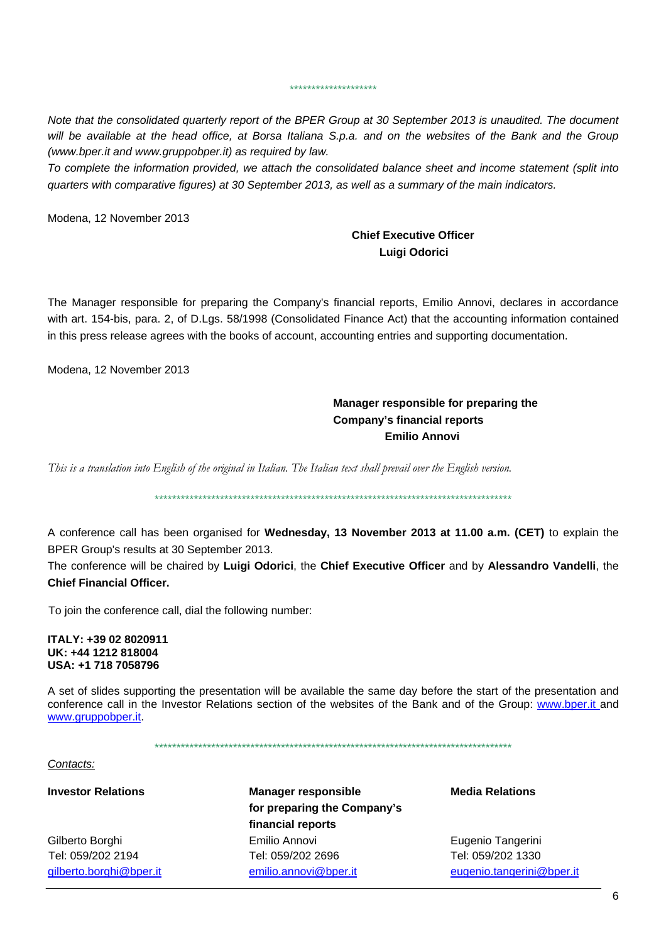*Note that the consolidated quarterly report of the BPER Group at 30 September 2013 is unaudited. The document*  will be available at the head office, at Borsa Italiana S.p.a. and on the websites of the Bank and the Group *(www.bper.it and www.gruppobper.it) as required by law.* 

\*\*\*\*\*\*\*\*\*\*\*\*\*\*\*\*\*\*\*\*

*To complete the information provided, we attach the consolidated balance sheet and income statement (split into quarters with comparative figures) at 30 September 2013, as well as a summary of the main indicators.* 

Modena, 12 November 2013

## **Chief Executive Officer Luigi Odorici**

The Manager responsible for preparing the Company's financial reports, Emilio Annovi, declares in accordance with art. 154-bis, para. 2, of D.Lgs. 58/1998 (Consolidated Finance Act) that the accounting information contained in this press release agrees with the books of account, accounting entries and supporting documentation.

Modena, 12 November 2013

## **Manager responsible for preparing the Company's financial reports Emilio Annovi**

*This is a translation into English of the original in Italian. The Italian text shall prevail over the English version.* 

\*\*\*\*\*\*\*\*\*\*\*\*\*\*\*\*\*\*\*\*\*\*\*\*\*\*\*\*\*\*\*\*\*\*\*\*\*\*\*\*\*\*\*\*\*\*\*\*\*\*\*\*\*\*\*\*\*\*\*\*\*\*\*\*\*\*\*\*\*\*\*\*\*\*\*\*\*\*\*\*\*\*

A conference call has been organised for **Wednesday, 13 November 2013 at 11.00 a.m. (CET)** to explain the BPER Group's results at 30 September 2013.

The conference will be chaired by **Luigi Odorici**, the **Chief Executive Officer** and by **Alessandro Vandelli**, the **Chief Financial Officer.**

To join the conference call, dial the following number:

**ITALY: +39 02 8020911 UK: +44 1212 818004 USA: +1 718 7058796** 

A set of slides supporting the presentation will be available the same day before the start of the presentation and conference call in the Investor Relations section of the websites of the Bank and of the Group: www.bper.it and www.gruppobper.it.

\*\*\*\*\*\*\*\*\*\*\*\*\*\*\*\*\*\*\*\*\*\*\*\*\*\*\*\*\*\*\*\*\*\*\*\*\*\*\*\*\*\*\*\*\*\*\*\*\*\*\*\*\*\*\*\*\*\*\*\*\*\*\*\*\*\*\*\*\*\*\*\*\*\*\*\*\*\*\*\*\*\*

#### *Contacts:*

**Investor Relations Manager responsible Media Relations for preparing the Company's financial reports** Gilberto Borghi Emilio Annovi Eugenio Tangerini Tel: 059/202 2194 Tel: 059/202 2696 Tel: 059/202 1330 gilberto.borghi@bper.it emilio.annovi@bper.it eugenio.tangerini@bper.it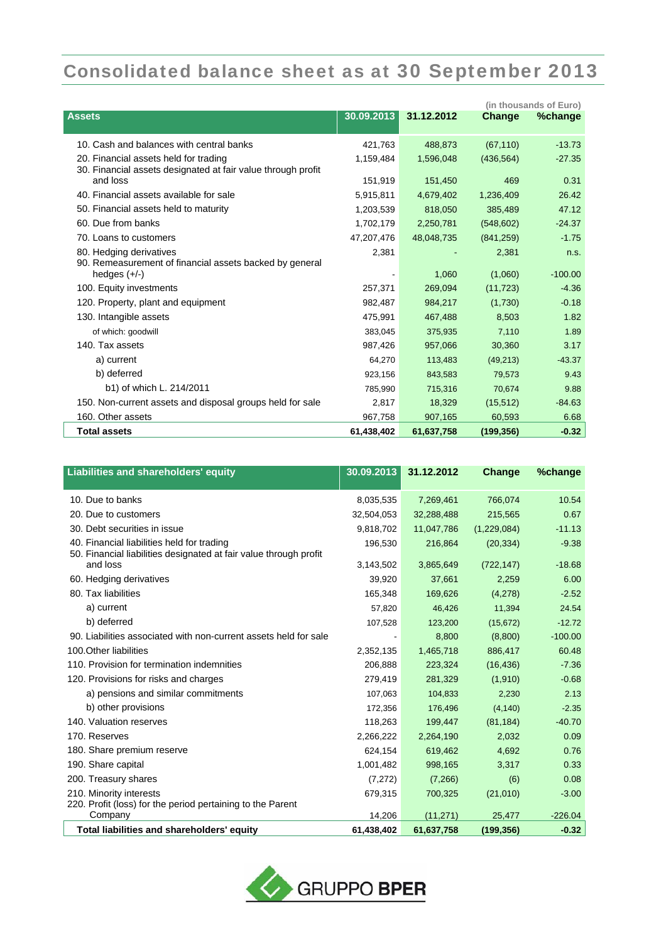# Consolidated balance sheet as at 30 September 2013

|                                                                                                       |            |            |               | (in thousands of Euro) |
|-------------------------------------------------------------------------------------------------------|------------|------------|---------------|------------------------|
| <b>Assets</b>                                                                                         | 30.09.2013 | 31.12.2012 | <b>Change</b> | %change                |
| 10. Cash and balances with central banks                                                              | 421,763    | 488,873    | (67, 110)     | $-13.73$               |
| 20. Financial assets held for trading<br>30. Financial assets designated at fair value through profit | 1,159,484  | 1,596,048  | (436, 564)    | $-27.35$               |
| and loss                                                                                              | 151,919    | 151,450    | 469           | 0.31                   |
| 40. Financial assets available for sale                                                               | 5,915,811  | 4,679,402  | 1,236,409     | 26.42                  |
| 50. Financial assets held to maturity                                                                 | 1,203,539  | 818,050    | 385,489       | 47.12                  |
| 60. Due from banks                                                                                    | 1,702,179  | 2,250,781  | (548, 602)    | $-24.37$               |
| 70. Loans to customers                                                                                | 47,207,476 | 48,048,735 | (841, 259)    | $-1.75$                |
| 80. Hedging derivatives<br>90. Remeasurement of financial assets backed by general                    | 2,381      |            | 2,381         | n.S.                   |
| hedges $(+/-)$                                                                                        |            | 1,060      | (1,060)       | $-100.00$              |
| 100. Equity investments                                                                               | 257,371    | 269,094    | (11, 723)     | $-4.36$                |
| 120. Property, plant and equipment                                                                    | 982,487    | 984.217    | (1,730)       | $-0.18$                |
| 130. Intangible assets                                                                                | 475,991    | 467,488    | 8,503         | 1.82                   |
| of which: goodwill                                                                                    | 383,045    | 375,935    | 7,110         | 1.89                   |
| 140. Tax assets                                                                                       | 987,426    | 957,066    | 30,360        | 3.17                   |
| a) current                                                                                            | 64,270     | 113,483    | (49, 213)     | $-43.37$               |
| b) deferred                                                                                           | 923.156    | 843,583    | 79.573        | 9.43                   |
| b1) of which L. 214/2011                                                                              | 785,990    | 715,316    | 70,674        | 9.88                   |
| 150. Non-current assets and disposal groups held for sale                                             | 2,817      | 18,329     | (15, 512)     | $-84.63$               |
| 160. Other assets                                                                                     | 967,758    | 907,165    | 60,593        | 6.68                   |
| <b>Total assets</b>                                                                                   | 61,438,402 | 61,637,758 | (199, 356)    | $-0.32$                |

| Liabilities and shareholders' equity                                                                            | 30.09.2013 | 31.12.2012 | Change      | %change   |
|-----------------------------------------------------------------------------------------------------------------|------------|------------|-------------|-----------|
| 10. Due to banks                                                                                                | 8,035,535  | 7,269,461  | 766,074     | 10.54     |
| 20. Due to customers                                                                                            | 32,504,053 | 32,288,488 | 215,565     | 0.67      |
| 30. Debt securities in issue                                                                                    | 9,818,702  | 11,047,786 | (1,229,084) | $-11.13$  |
| 40. Financial liabilities held for trading<br>50. Financial liabilities designated at fair value through profit | 196,530    | 216,864    | (20, 334)   | $-9.38$   |
| and loss                                                                                                        | 3,143,502  | 3,865,649  | (722, 147)  | $-18.68$  |
| 60. Hedging derivatives                                                                                         | 39,920     | 37,661     | 2,259       | 6.00      |
| 80. Tax liabilities                                                                                             | 165,348    | 169,626    | (4,278)     | $-2.52$   |
| a) current                                                                                                      | 57,820     | 46,426     | 11,394      | 24.54     |
| b) deferred                                                                                                     | 107,528    | 123,200    | (15, 672)   | $-12.72$  |
| 90. Liabilities associated with non-current assets held for sale                                                |            | 8,800      | (8,800)     | $-100.00$ |
| 100. Other liabilities                                                                                          | 2,352,135  | 1,465,718  | 886,417     | 60.48     |
| 110. Provision for termination indemnities                                                                      | 206,888    | 223,324    | (16, 436)   | $-7.36$   |
| 120. Provisions for risks and charges                                                                           | 279,419    | 281,329    | (1,910)     | $-0.68$   |
| a) pensions and similar commitments                                                                             | 107,063    | 104,833    | 2,230       | 2.13      |
| b) other provisions                                                                                             | 172,356    | 176,496    | (4, 140)    | $-2.35$   |
| 140. Valuation reserves                                                                                         | 118,263    | 199,447    | (81, 184)   | $-40.70$  |
| 170. Reserves                                                                                                   | 2,266,222  | 2,264,190  | 2,032       | 0.09      |
| 180. Share premium reserve                                                                                      | 624,154    | 619,462    | 4,692       | 0.76      |
| 190. Share capital                                                                                              | 1,001,482  | 998,165    | 3.317       | 0.33      |
| 200. Treasury shares                                                                                            | (7, 272)   | (7,266)    | (6)         | 0.08      |
| 210. Minority interests                                                                                         | 679,315    | 700,325    | (21, 010)   | $-3.00$   |
| 220. Profit (loss) for the period pertaining to the Parent<br>Company                                           | 14,206     | (11, 271)  | 25,477      | $-226.04$ |
| Total liabilities and shareholders' equity                                                                      | 61,438,402 | 61,637,758 | (199, 356)  | $-0.32$   |

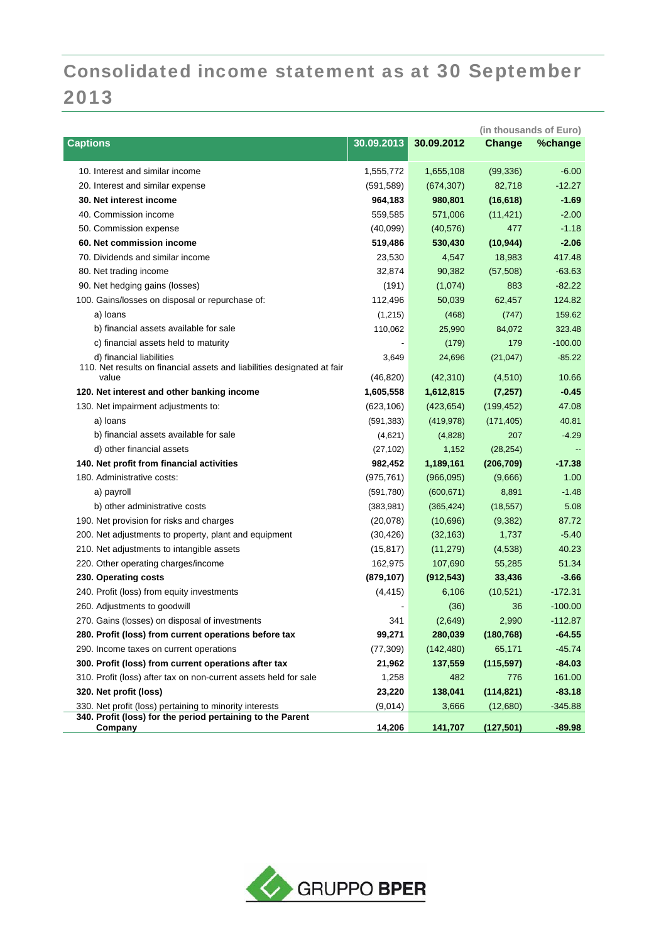# Consolidated income statement as at 30 September 2013

| <b>Captions</b><br>30.09.2013<br>30.09.2012<br>Change<br>%change<br>1,655,108<br>$-6.00$<br>10. Interest and similar income<br>1,555,772<br>(99, 336)<br>82,718<br>$-12.27$<br>20. Interest and similar expense<br>(591, 589)<br>(674, 307)<br>(16, 618)<br>$-1.69$<br>30. Net interest income<br>964,183<br>980,801<br>40. Commission income<br>$-2.00$<br>559,585<br>571,006<br>(11, 421)<br>477<br>$-1.18$<br>50. Commission expense<br>(40,099)<br>(40, 576)<br>60. Net commission income<br>$-2.06$<br>519,486<br>530,430<br>(10, 944)<br>70. Dividends and similar income<br>23,530<br>4,547<br>18,983<br>417.48<br>90,382<br>$-63.63$<br>80. Net trading income<br>32,874<br>(57, 508)<br>883<br>$-82.22$<br>90. Net hedging gains (losses)<br>(191)<br>(1,074)<br>100. Gains/losses on disposal or repurchase of:<br>124.82<br>112,496<br>50,039<br>62,457 |
|--------------------------------------------------------------------------------------------------------------------------------------------------------------------------------------------------------------------------------------------------------------------------------------------------------------------------------------------------------------------------------------------------------------------------------------------------------------------------------------------------------------------------------------------------------------------------------------------------------------------------------------------------------------------------------------------------------------------------------------------------------------------------------------------------------------------------------------------------------------------|
|                                                                                                                                                                                                                                                                                                                                                                                                                                                                                                                                                                                                                                                                                                                                                                                                                                                                    |
|                                                                                                                                                                                                                                                                                                                                                                                                                                                                                                                                                                                                                                                                                                                                                                                                                                                                    |
|                                                                                                                                                                                                                                                                                                                                                                                                                                                                                                                                                                                                                                                                                                                                                                                                                                                                    |
|                                                                                                                                                                                                                                                                                                                                                                                                                                                                                                                                                                                                                                                                                                                                                                                                                                                                    |
|                                                                                                                                                                                                                                                                                                                                                                                                                                                                                                                                                                                                                                                                                                                                                                                                                                                                    |
|                                                                                                                                                                                                                                                                                                                                                                                                                                                                                                                                                                                                                                                                                                                                                                                                                                                                    |
|                                                                                                                                                                                                                                                                                                                                                                                                                                                                                                                                                                                                                                                                                                                                                                                                                                                                    |
|                                                                                                                                                                                                                                                                                                                                                                                                                                                                                                                                                                                                                                                                                                                                                                                                                                                                    |
|                                                                                                                                                                                                                                                                                                                                                                                                                                                                                                                                                                                                                                                                                                                                                                                                                                                                    |
|                                                                                                                                                                                                                                                                                                                                                                                                                                                                                                                                                                                                                                                                                                                                                                                                                                                                    |
|                                                                                                                                                                                                                                                                                                                                                                                                                                                                                                                                                                                                                                                                                                                                                                                                                                                                    |
| a) loans<br>159.62<br>(1,215)<br>(468)<br>(747)                                                                                                                                                                                                                                                                                                                                                                                                                                                                                                                                                                                                                                                                                                                                                                                                                    |
| b) financial assets available for sale<br>110,062<br>25,990<br>84,072<br>323.48                                                                                                                                                                                                                                                                                                                                                                                                                                                                                                                                                                                                                                                                                                                                                                                    |
| c) financial assets held to maturity<br>(179)<br>179<br>$-100.00$                                                                                                                                                                                                                                                                                                                                                                                                                                                                                                                                                                                                                                                                                                                                                                                                  |
| d) financial liabilities<br>24,696<br>$-85.22$<br>3,649<br>(21, 047)                                                                                                                                                                                                                                                                                                                                                                                                                                                                                                                                                                                                                                                                                                                                                                                               |
| 110. Net results on financial assets and liabilities designated at fair                                                                                                                                                                                                                                                                                                                                                                                                                                                                                                                                                                                                                                                                                                                                                                                            |
| value<br>(46, 820)<br>(42, 310)<br>(4, 510)<br>10.66                                                                                                                                                                                                                                                                                                                                                                                                                                                                                                                                                                                                                                                                                                                                                                                                               |
| 120. Net interest and other banking income<br>1,605,558<br>1,612,815<br>(7, 257)<br>$-0.45$                                                                                                                                                                                                                                                                                                                                                                                                                                                                                                                                                                                                                                                                                                                                                                        |
| 130. Net impairment adjustments to:<br>(623, 106)<br>(199, 452)<br>47.08<br>(423, 654)                                                                                                                                                                                                                                                                                                                                                                                                                                                                                                                                                                                                                                                                                                                                                                             |
| a) loans<br>(591, 383)<br>(171, 405)<br>40.81<br>(419, 978)                                                                                                                                                                                                                                                                                                                                                                                                                                                                                                                                                                                                                                                                                                                                                                                                        |
| b) financial assets available for sale<br>207<br>$-4.29$<br>(4,621)<br>(4,828)                                                                                                                                                                                                                                                                                                                                                                                                                                                                                                                                                                                                                                                                                                                                                                                     |
| d) other financial assets<br>(27, 102)<br>(28, 254)<br>1,152                                                                                                                                                                                                                                                                                                                                                                                                                                                                                                                                                                                                                                                                                                                                                                                                       |
| 140. Net profit from financial activities<br>1,189,161<br>982,452<br>(206, 709)<br>-17.38                                                                                                                                                                                                                                                                                                                                                                                                                                                                                                                                                                                                                                                                                                                                                                          |
| 180. Administrative costs:<br>(975, 761)<br>(966,095)<br>(9,666)<br>1.00                                                                                                                                                                                                                                                                                                                                                                                                                                                                                                                                                                                                                                                                                                                                                                                           |
| a) payroll<br>(591,780)<br>(600, 671)<br>8,891<br>$-1.48$                                                                                                                                                                                                                                                                                                                                                                                                                                                                                                                                                                                                                                                                                                                                                                                                          |
| b) other administrative costs<br>(383,981)<br>(365, 424)<br>(18, 557)<br>5.08                                                                                                                                                                                                                                                                                                                                                                                                                                                                                                                                                                                                                                                                                                                                                                                      |
| 190. Net provision for risks and charges<br>(20,078)<br>(10,696)<br>(9,382)<br>87.72                                                                                                                                                                                                                                                                                                                                                                                                                                                                                                                                                                                                                                                                                                                                                                               |
| 200. Net adjustments to property, plant and equipment<br>(32, 163)<br>1,737<br>$-5.40$<br>(30, 426)                                                                                                                                                                                                                                                                                                                                                                                                                                                                                                                                                                                                                                                                                                                                                                |
| 40.23<br>210. Net adjustments to intangible assets<br>(15, 817)<br>(11, 279)<br>(4,538)                                                                                                                                                                                                                                                                                                                                                                                                                                                                                                                                                                                                                                                                                                                                                                            |
| 220. Other operating charges/income<br>162,975<br>107,690<br>51.34<br>55,285                                                                                                                                                                                                                                                                                                                                                                                                                                                                                                                                                                                                                                                                                                                                                                                       |
| $-3.66$<br>230. Operating costs<br>(879, 107)<br>(912, 543)<br>33,436                                                                                                                                                                                                                                                                                                                                                                                                                                                                                                                                                                                                                                                                                                                                                                                              |
| $-172.31$<br>240. Profit (loss) from equity investments<br>(4, 415)<br>6,106<br>(10, 521)                                                                                                                                                                                                                                                                                                                                                                                                                                                                                                                                                                                                                                                                                                                                                                          |
| 260. Adjustments to goodwill<br>(36)<br>36<br>$-100.00$                                                                                                                                                                                                                                                                                                                                                                                                                                                                                                                                                                                                                                                                                                                                                                                                            |
| 341<br>(2,649)<br>2,990<br>$-112.87$<br>270. Gains (losses) on disposal of investments                                                                                                                                                                                                                                                                                                                                                                                                                                                                                                                                                                                                                                                                                                                                                                             |
| 99,271<br>280,039<br>(180, 768)<br>$-64.55$<br>280. Profit (loss) from current operations before tax                                                                                                                                                                                                                                                                                                                                                                                                                                                                                                                                                                                                                                                                                                                                                               |
| 65,171<br>$-45.74$<br>290. Income taxes on current operations<br>(77, 309)<br>(142, 480)                                                                                                                                                                                                                                                                                                                                                                                                                                                                                                                                                                                                                                                                                                                                                                           |
| $-84.03$<br>300. Profit (loss) from current operations after tax<br>21,962<br>137,559<br>(115, 597)                                                                                                                                                                                                                                                                                                                                                                                                                                                                                                                                                                                                                                                                                                                                                                |
| 310. Profit (loss) after tax on non-current assets held for sale<br>776<br>161.00<br>1,258<br>482                                                                                                                                                                                                                                                                                                                                                                                                                                                                                                                                                                                                                                                                                                                                                                  |
| 320. Net profit (loss)<br>138,041<br>(114, 821)<br>$-83.18$<br>23,220                                                                                                                                                                                                                                                                                                                                                                                                                                                                                                                                                                                                                                                                                                                                                                                              |
| 330. Net profit (loss) pertaining to minority interests<br>(9,014)<br>3,666<br>(12,680)<br>$-345.88$                                                                                                                                                                                                                                                                                                                                                                                                                                                                                                                                                                                                                                                                                                                                                               |
| 340. Profit (loss) for the period pertaining to the Parent<br>$-89.98$<br>14,206<br>141,707<br>(127, 501)<br>Company                                                                                                                                                                                                                                                                                                                                                                                                                                                                                                                                                                                                                                                                                                                                               |

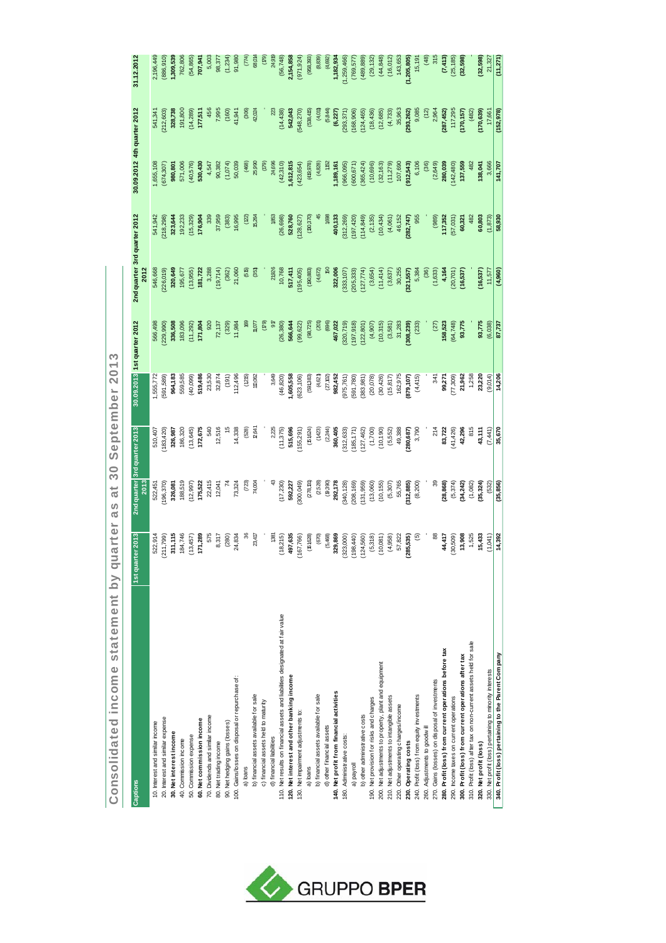| Captions                                                                      | ter 2013<br>1st quar | 2013       | 2nd quarter 3rd quarter 2013 |           | 30.09.2013 1st quarter 2012 | 2nd quarter 3rd quarter 2012<br>2012 |            | 30.09.2012 4th quarter 2012   |            | 31.12.2012                   |
|-------------------------------------------------------------------------------|----------------------|------------|------------------------------|-----------|-----------------------------|--------------------------------------|------------|-------------------------------|------------|------------------------------|
| 10. Interest and similar income                                               | 522,914              | 522,451    | 510,407                      | 1,555,772 | 566,498                     | 546,668                              | 541,942    | ,655,108                      | 541,341    | 2,196,449                    |
| 20. Interest and similar expense                                              | (667, 112)           | 196,370    | 183,420)                     | 591,589)  | 229,990)                    | 226,019)                             | 218,298)   | 674,307                       | 212,603)   | (886, 910)                   |
| 30. Net interest income                                                       | 311,115              | 326,081    | 326,987                      | 964,183   | 336,508                     | 320,649                              | 323,644    | 980,801                       | 328,738    | 1,309,539                    |
| 40. Commission income                                                         | 184,746              | 188,519    | 186,320                      | 559,585   | 183,096                     | 195,677                              | 192,233    | 571,006                       | 191,800    | 762,806                      |
| 50. Commission expense                                                        | (13, 457)            | (12, 997)  | (13, 645)                    | (40,099)  | 11,292)                     | (13, 955)                            | (15, 329)  | (40, 576)                     | (14, 289)  | (54,865)                     |
| 60. Net commission income                                                     | 171,289              | 175,522    | 172,675                      | 519,486   | 171,804                     | 181,722                              | 176,904    | 530,430                       | 177,511    | 707,941                      |
| 70. Dividends and similar income                                              | 575                  | 22,415     | 540                          | 23,530    | 920                         | 3,288                                | 339        | 4,547                         | 456        | 5,003                        |
| 80. Net trading income                                                        | 8,317                | 12,041     | 12,516                       | 32,874    | 72,137                      | (19, 714)                            | 37,959     | 90,382                        | 7,995      | 98,377                       |
| 90. Net hedging gains (losses)                                                | (280)                |            |                              | (191)     | (329)                       | (362)                                | (383)      | (1,074)                       | (160)      | (1, 234)                     |
| 100. Gains/losses on disposal or repurchase of:                               | 24,834               | 73,324     | 14,338                       | 112,496   | 11,984                      | 21,060                               | 16,995     | 50,039                        | 41,941     | 91,980                       |
| a) loans                                                                      |                      | (723)      | (528)                        | (1215)    |                             | (55)                                 | <u>(ଅ</u>  | (468)                         | (306)      | (774)                        |
| b) financial assets available for sale                                        | 23,417               | 74,004     | 1794                         | 110,062   | $\frac{1}{2}$               | (351)                                | 16,264     | 25,990                        | 42,024     | 68,014                       |
| c) financial assets held to maturity                                          |                      |            |                              |           | (52)                        |                                      |            | $\left( 62\right)$            |            | $\left(\overline{62}\right)$ |
| d) financial liabilities                                                      | 381                  |            | 2,225                        | 3,649     | g                           | 21,926                               | 1853       | 24,696                        |            | 24,919                       |
| 110. Net results on financial assets and liabilities designated at fair value | (18,215)             | (17, 230)  | (11, 375)                    | (46, 820) | (26, 380)                   | 10,768                               | (26, 698)  | (42,310)                      | (14, 438)  | (56, 748)                    |
| 120. Net interest and other banking income                                    | 497,635              | 592,227    | 515,696                      | 1,605,558 | 566,644                     | 517,411                              | 528,760    | 1,612,815                     | 542,043    | 2,154,858                    |
| 130. Net impairment adjustments to:                                           | (167, 766)           | 300,049)   | (155, 291)                   | 623,106)  | 99,622                      | (195, 405)                           | 128,627)   | (423, 654)                    | 548,270    | (971, 924)                   |
| a) loans                                                                      | (61628)              | (278, 131) | (51624)                      | (591,383) | (98,725)                    | (80, 883)                            | (00, 370)  | (49, 978)                     | (538,415)  | (958, 393)                   |
| b) financial assets available for sale                                        | (670)                | (2,528)    | (1423)                       | (4,621)   | (201)                       | (4,672)                              |            | (4,828)                       | (4.01)     | (8,839)                      |
| d) other financial assets                                                     | (5,468)              | (9,390)    | (2,244)                      | (27, 02)  | (696)                       |                                      | 1698       | 152                           | (5, 844)   | (4,692)                      |
| 140. Net profit from financial activities                                     | 329,869              | 292,178    | 360,405                      | 982,452   | 467,022                     | 322,006                              | 400,133    | ,189,161                      | (6, 227)   | 1,182,934                    |
| 180. Administrative costs:                                                    | (323,000)            | 340,128)   | 312,633                      | 975,761)  | (320, 719)                  | 333, 107)                            | 312,269)   | 966,095                       | (293, 371) | (1,259,466)                  |
| a) payroll                                                                    | (198, 440)           | 208,169    | (185, 171)                   | 591,780)  | 197,918)                    | 205,333)                             | (024, 181) | 600,671                       | (168, 906) | (769, 577)                   |
| b) other administrative costs                                                 | 124,560)             | (131, 959) | (127, 462)                   | 383,981)  | 122,801)                    | (127, 774)                           | 114,849)   | (365, 424)                    | 124,465    | (489, 889)                   |
| 190. Net provision for risks and charges                                      | (5,318)              | (13,060)   | (1,700)                      | (20,078)  | (4,907)                     | (3,654)                              | (2, 135)   | (10, 696)                     | (18, 436)  | (29, 132)                    |
| 200. Net adjustments to property, plant and equipment                         | (10,081)             | (10, 155)  | (10, 190)                    | (30, 426) | (10,315)                    | (11, 414)                            | (10, 434)  | (32, 163)                     | (12, 685)  | (44, 848)                    |
| 210. Net adjustments to intangible assets                                     | (4,958)              | (5, 307)   | (5,552)                      | (15, 817) | (3,581)                     | (3,637)                              | (4,061)    | (11,279)                      | (4, 733)   | (16,012)                     |
| 220. Other operating charges/income                                           | 57,822               | 55,765     | 49,388                       | 162,975   | 31,283                      | 30,255                               | 46,152     | 107,690                       | 35,963     | 143,653                      |
| 230. Operating costs                                                          | 285,535)             | 312,885    | 280,687)                     | 879,107   | 308,239                     | 321,557                              | 282,747)   | 912,543                       | 293,262)   | (1,205,805)                  |
| 240. Profit (loss) from equity investments                                    | $\overline{6}$       | (8, 200)   | 3,790                        | (4, 415)  | (233)                       | 5,384                                | 955        | 6,106                         | 9,085      | 15,191                       |
| 260. Adjustments to goodwill                                                  |                      |            |                              |           |                             | (36)                                 |            | $\left( \frac{36}{2} \right)$ | (12)       | (48)                         |
| 270. Gains (losses) on disposal of investments                                | $\frac{8}{6}$        |            | 214                          | 341       | (27)                        | (1,633)                              | (989)      | (2, 649)                      | 2,964      | 315                          |
| 280. Profit (loss) from current operations before tax                         | 44,417               | (28, 868)  | 83,722                       | 99,271    | 158,523                     | 4,164                                | 117,352    | 280,039                       | 287,452)   | (7, 413)                     |
| 290. Income taxes on current operations                                       | (30,509)             | (5, 374)   | (41, 426)                    | (506'12)  | (64, 748)                   | (20, 701)                            | (57,031)   | (142, 480)                    | 117,295    | (25, 185)                    |
| 300. Profit (loss) from current operations after tax                          | 13,908               | (34, 242)  | 42,296                       | 21,962    | 93,775                      | (16, 537)                            | 60,321     | 137,559                       | (170, 157) | (32, 598)                    |
| 310. Profit (loss) after tax on non-current assets held for sale              | 1,525                | (1,082)    | 815                          | 1,258     |                             |                                      | 482        | 482                           | (482)      |                              |
| 320. Net profit (loss)                                                        | 15,433               | 35,324     | 43,111                       | 23,220    | 93,775                      | (16, 537)                            | 60,803     | 138,041                       | (170, 639) | (32,598)                     |
| 330. Net profit (loss) pertaining to minority interests                       | (1,041)              | (532)      | (7,441)                      | (9,014)   | (6,038)                     | 11,577                               | (1, 873)   | 3,666                         | 17,661     | 21,327                       |
| 340. Profit (loss) pertaining to the Parent Company                           | 14,392               | (35, 856)  | 35,670                       | 14,206    | 87,737                      | (4, 960)                             | 58.930     | 141,707                       | (152, 978) | (11, 271)                    |